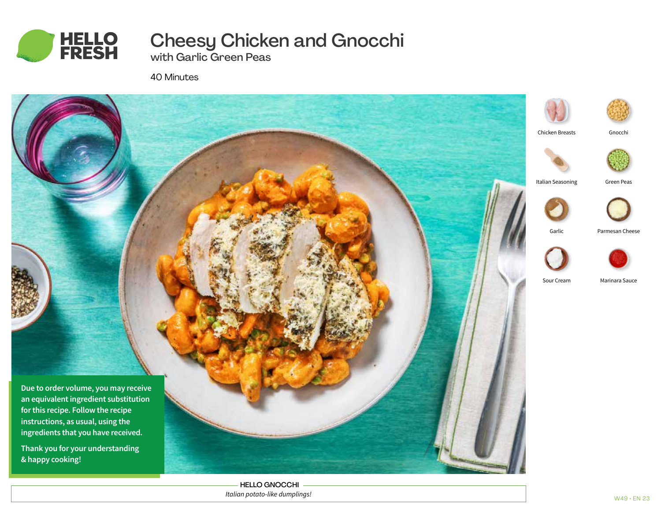

# Cheesy Chicken and Gnocchi

with Garlic Green Peas

40 Minutes



HELLO GNOCCHI *Italian potato-like dumplings!*